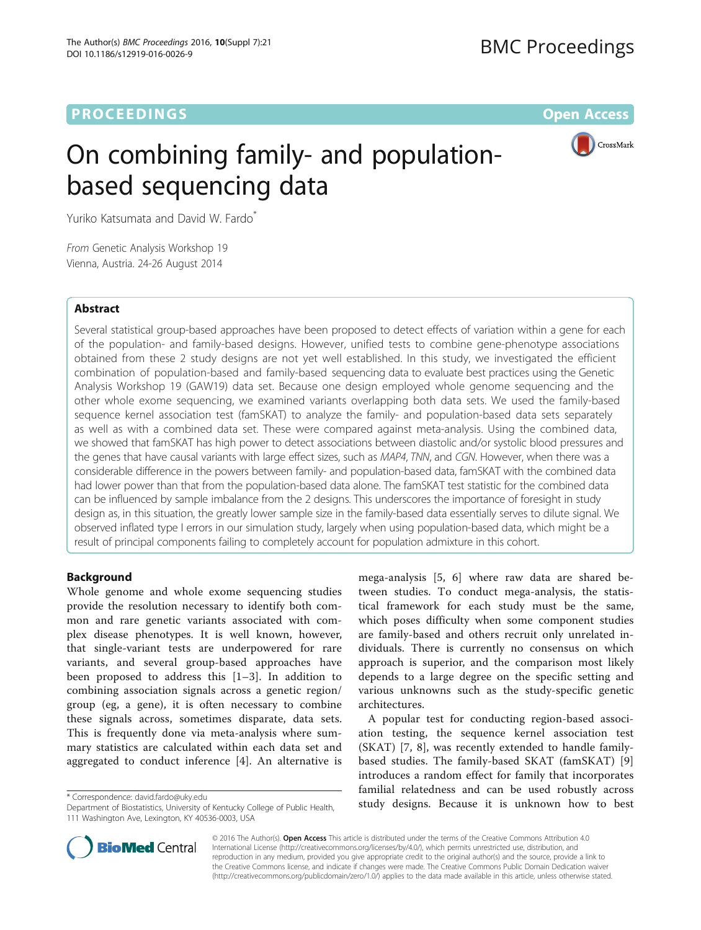# **PROCEEDINGS CONSUMING S** Open Access **CONSUMING S**



# On combining family- and populationbased sequencing data

Yuriko Katsumata and David W. Fardo<sup>\*</sup>

From Genetic Analysis Workshop 19 Vienna, Austria. 24-26 August 2014

# Abstract

Several statistical group-based approaches have been proposed to detect effects of variation within a gene for each of the population- and family-based designs. However, unified tests to combine gene-phenotype associations obtained from these 2 study designs are not yet well established. In this study, we investigated the efficient combination of population-based and family-based sequencing data to evaluate best practices using the Genetic Analysis Workshop 19 (GAW19) data set. Because one design employed whole genome sequencing and the other whole exome sequencing, we examined variants overlapping both data sets. We used the family-based sequence kernel association test (famSKAT) to analyze the family- and population-based data sets separately as well as with a combined data set. These were compared against meta-analysis. Using the combined data, we showed that famSKAT has high power to detect associations between diastolic and/or systolic blood pressures and the genes that have causal variants with large effect sizes, such as MAP4, TNN, and CGN. However, when there was a considerable difference in the powers between family- and population-based data, famSKAT with the combined data had lower power than that from the population-based data alone. The famSKAT test statistic for the combined data can be influenced by sample imbalance from the 2 designs. This underscores the importance of foresight in study design as, in this situation, the greatly lower sample size in the family-based data essentially serves to dilute signal. We observed inflated type I errors in our simulation study, largely when using population-based data, which might be a result of principal components failing to completely account for population admixture in this cohort.

# Background

Whole genome and whole exome sequencing studies provide the resolution necessary to identify both common and rare genetic variants associated with complex disease phenotypes. It is well known, however, that single-variant tests are underpowered for rare variants, and several group-based approaches have been proposed to address this [[1](#page-4-0)–[3\]](#page-4-0). In addition to combining association signals across a genetic region/ group (eg, a gene), it is often necessary to combine these signals across, sometimes disparate, data sets. This is frequently done via meta-analysis where summary statistics are calculated within each data set and aggregated to conduct inference [[4\]](#page-4-0). An alternative is

mega-analysis [\[5](#page-4-0), [6](#page-4-0)] where raw data are shared between studies. To conduct mega-analysis, the statistical framework for each study must be the same, which poses difficulty when some component studies are family-based and others recruit only unrelated individuals. There is currently no consensus on which approach is superior, and the comparison most likely depends to a large degree on the specific setting and various unknowns such as the study-specific genetic architectures.

A popular test for conducting region-based association testing, the sequence kernel association test (SKAT) [\[7](#page-4-0), [8](#page-4-0)], was recently extended to handle familybased studies. The family-based SKAT (famSKAT) [\[9](#page-4-0)] introduces a random effect for family that incorporates familial relatedness and can be used robustly across \* Correspondence: [david.fardo@uky.edu](mailto:david.fardo@uky.edu)<br>Department of Biostatistics University of Kentucky College of Public Health study designs. Because it is unknown how to best



© 2016 The Author(s). Open Access This article is distributed under the terms of the Creative Commons Attribution 4.0 International License [\(http://creativecommons.org/licenses/by/4.0/](http://creativecommons.org/licenses/by/4.0/)), which permits unrestricted use, distribution, and reproduction in any medium, provided you give appropriate credit to the original author(s) and the source, provide a link to the Creative Commons license, and indicate if changes were made. The Creative Commons Public Domain Dedication waiver [\(http://creativecommons.org/publicdomain/zero/1.0/](http://creativecommons.org/publicdomain/zero/1.0/)) applies to the data made available in this article, unless otherwise stated.

Department of Biostatistics, University of Kentucky College of Public Health, 111 Washington Ave, Lexington, KY 40536-0003, USA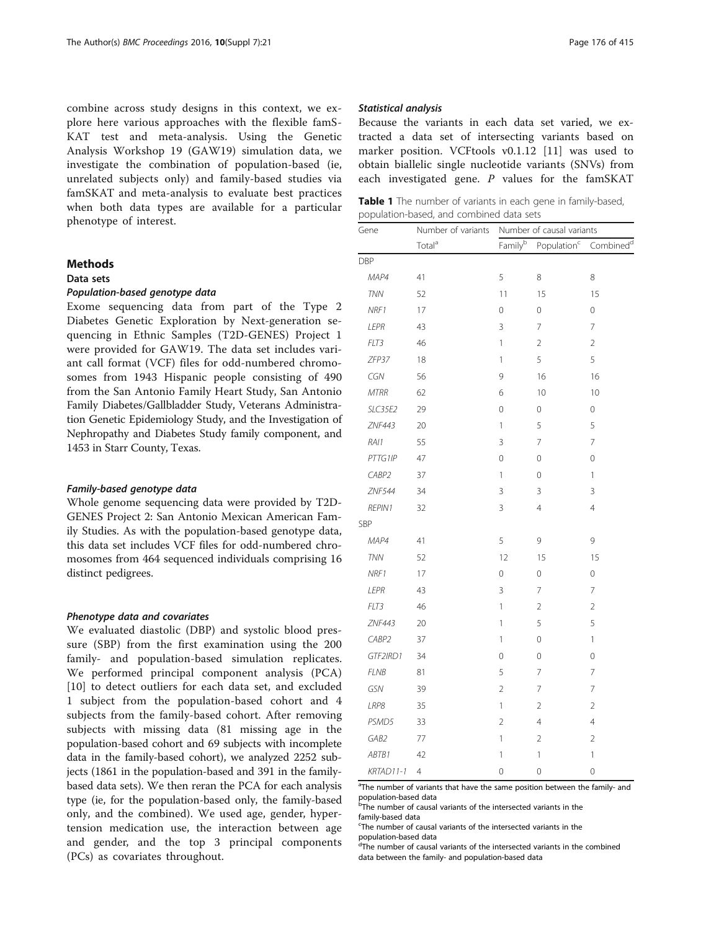<span id="page-1-0"></span>combine across study designs in this context, we explore here various approaches with the flexible famS-KAT test and meta-analysis. Using the Genetic Analysis Workshop 19 (GAW19) simulation data, we investigate the combination of population-based (ie, unrelated subjects only) and family-based studies via famSKAT and meta-analysis to evaluate best practices when both data types are available for a particular phenotype of interest.

## Methods

## Data sets

### Population-based genotype data

Exome sequencing data from part of the Type 2 Diabetes Genetic Exploration by Next-generation sequencing in Ethnic Samples (T2D-GENES) Project 1 were provided for GAW19. The data set includes variant call format (VCF) files for odd-numbered chromosomes from 1943 Hispanic people consisting of 490 from the San Antonio Family Heart Study, San Antonio Family Diabetes/Gallbladder Study, Veterans Administration Genetic Epidemiology Study, and the Investigation of Nephropathy and Diabetes Study family component, and 1453 in Starr County, Texas.

## Family-based genotype data

Whole genome sequencing data were provided by T2D-GENES Project 2: San Antonio Mexican American Family Studies. As with the population-based genotype data, this data set includes VCF files for odd-numbered chromosomes from 464 sequenced individuals comprising 16 distinct pedigrees.

### Phenotype data and covariates

We evaluated diastolic (DBP) and systolic blood pressure (SBP) from the first examination using the 200 family- and population-based simulation replicates. We performed principal component analysis (PCA) [[10\]](#page-4-0) to detect outliers for each data set, and excluded 1 subject from the population-based cohort and 4 subjects from the family-based cohort. After removing subjects with missing data (81 missing age in the population-based cohort and 69 subjects with incomplete data in the family-based cohort), we analyzed 2252 subjects (1861 in the population-based and 391 in the familybased data sets). We then reran the PCA for each analysis type (ie, for the population-based only, the family-based only, and the combined). We used age, gender, hypertension medication use, the interaction between age and gender, and the top 3 principal components (PCs) as covariates throughout.

## Statistical analysis

Because the variants in each data set varied, we extracted a data set of intersecting variants based on marker position. VCFtools v0.1.12 [[11\]](#page-4-0) was used to obtain biallelic single nucleotide variants (SNVs) from each investigated gene.  $P$  values for the famSKAT

Table 1 The number of variants in each gene in family-based. population-based, and combined data sets

| Gene        | Number of variants<br>Total <sup>a</sup> | Number of causal variants |                         |                       |
|-------------|------------------------------------------|---------------------------|-------------------------|-----------------------|
|             |                                          | Familyb                   | Population <sup>c</sup> | Combined <sup>d</sup> |
| DBP         |                                          |                           |                         |                       |
| MAP4        | 41                                       | 5                         | 8                       | 8                     |
| $T\!N\!N$   | 52                                       | 11                        | 15                      | 15                    |
| NRF1        | 17                                       | 0                         | 0                       | 0                     |
| LEPR        | 43                                       | 3                         | 7                       | 7                     |
| FLT3        | 46                                       | 1                         | $\overline{2}$          | $\overline{2}$        |
| ZFP37       | 18                                       | 1                         | 5                       | 5                     |
| CGN         | 56                                       | 9                         | 16                      | 16                    |
| <b>MTRR</b> | 62                                       | 6                         | 10                      | 10                    |
| SLC35E2     | 29                                       | $\mathbf 0$               | 0                       | 0                     |
| ZNF443      | 20                                       | 1                         | 5                       | 5                     |
| RAI1        | 55                                       | 3                         | 7                       | 7                     |
| PTTG1IP     | 47                                       | $\mathbf 0$               | 0                       | 0                     |
| CABP2       | 37                                       | 1                         | 0                       | 1                     |
| ZNF544      | 34                                       | 3                         | 3                       | 3                     |
| REPIN1      | 32                                       | 3                         | $\overline{4}$          | 4                     |
| SBP         |                                          |                           |                         |                       |
| MAP4        | 41                                       | 5                         | 9                       | 9                     |
| TNN         | 52                                       | 12                        | 15                      | 15                    |
| NRF1        | $17\,$                                   | 0                         | 0                       | 0                     |
| LEPR        | 43                                       | 3                         | 7                       | 7                     |
| FLT3        | 46                                       | 1                         | 2                       | 2                     |
| ZNF443      | 20                                       | 1                         | 5                       | 5                     |
| CABP2       | 37                                       | 1                         | 0                       | $\mathbf{1}$          |
| GTF2IRD1    | 34                                       | 0                         | 0                       | 0                     |
| <b>FLNB</b> | 81                                       | 5                         | 7                       | 7                     |
| GSN         | 39                                       | $\overline{2}$            | 7                       | 7                     |
| LRP8        | 35                                       | 1                         | 2                       | 2                     |
| PSMD5       | 33                                       | 2                         | 4                       | 4                     |
| GAB2        | 77                                       | 1                         | 2                       | $\overline{2}$        |
| ABTB1       | 42                                       | 1                         | 1                       | 1                     |
| KRTAD11-1   | 4                                        | 0                         | 0                       | 0                     |

<sup>a</sup>The number of variants that have the same position between the family- and population-based data

bThe number of causal variants of the intersected variants in the family-based data

<sup>c</sup>The number of causal variants of the intersected variants in the population-based data

<sup>d</sup>The number of causal variants of the intersected variants in the combined data between the family- and population-based data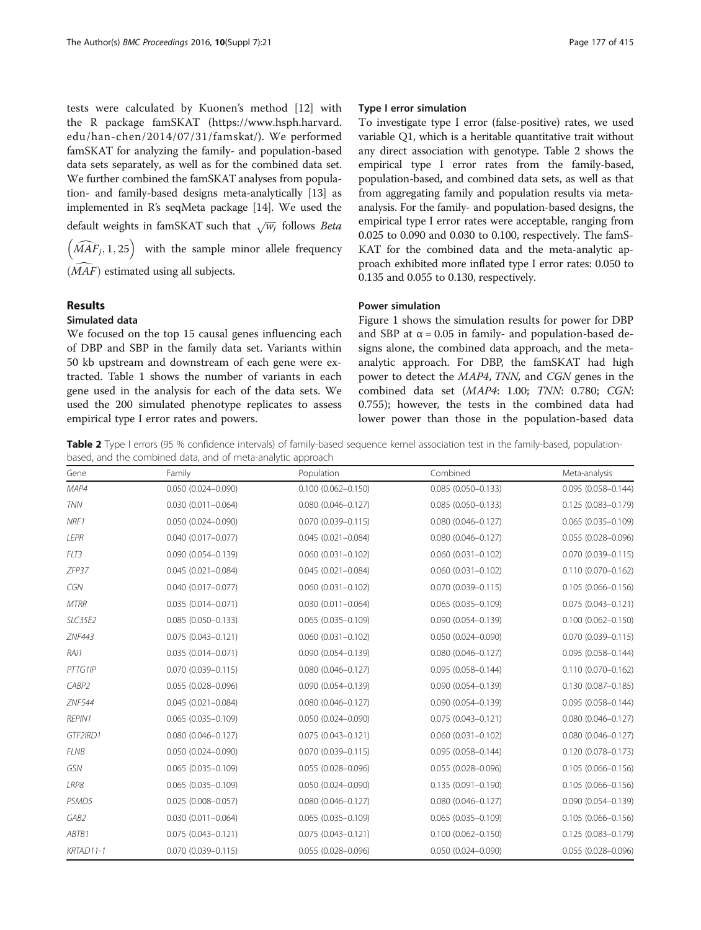tests were calculated by Kuonen's method [[12\]](#page-4-0) with the R package famSKAT [\(https://www.hsph.harvard.](https://www.hsph.harvard.edu/han-chen/2014/07/31/famskat/) [edu/han-chen/2014/07/31/famskat/](https://www.hsph.harvard.edu/han-chen/2014/07/31/famskat/)). We performed famSKAT for analyzing the family- and population-based data sets separately, as well as for the combined data set. We further combined the famSKAT analyses from population- and family-based designs meta-analytically [[13\]](#page-4-0) as implemented in R's seqMeta package [[14\]](#page-4-0). We used the

default weights in famSKAT such that  $\sqrt{w_j}$  follows *Beta* 

 $(MAF<sub>j</sub>, 1, 25)$  with the sample minor allele frequency  $(MAF)$  estimated using all subjects.

## Results

## Simulated data

We focused on the top 15 causal genes influencing each of DBP and SBP in the family data set. Variants within 50 kb upstream and downstream of each gene were extracted. Table [1](#page-1-0) shows the number of variants in each gene used in the analysis for each of the data sets. We used the 200 simulated phenotype replicates to assess empirical type I error rates and powers.

## Type I error simulation

To investigate type I error (false-positive) rates, we used variable Q1, which is a heritable quantitative trait without any direct association with genotype. Table 2 shows the empirical type I error rates from the family-based, population-based, and combined data sets, as well as that from aggregating family and population results via metaanalysis. For the family- and population-based designs, the empirical type I error rates were acceptable, ranging from 0.025 to 0.090 and 0.030 to 0.100, respectively. The famS-KAT for the combined data and the meta-analytic approach exhibited more inflated type I error rates: 0.050 to 0.135 and 0.055 to 0.130, respectively.

## Power simulation

Figure [1](#page-3-0) shows the simulation results for power for DBP and SBP at  $\alpha$  = 0.05 in family- and population-based designs alone, the combined data approach, and the metaanalytic approach. For DBP, the famSKAT had high power to detect the MAP4, TNN, and CGN genes in the combined data set (MAP4: 1.00; TNN: 0.780; CGN: 0.755); however, the tests in the combined data had lower power than those in the population-based data

Table 2 Type I errors (95 % confidence intervals) of family-based sequence kernel association test in the family-based, populationbased, and the combined data, and of meta-analytic approach

| Gene          | Family                 | Population                | Combined                  | Meta-analysis          |
|---------------|------------------------|---------------------------|---------------------------|------------------------|
| MAP4          | 0.050 (0.024-0.090)    | $0.100(0.062 - 0.150)$    | $0.085(0.050 - 0.133)$    | $0.095(0.058 - 0.144)$ |
| <b>TNN</b>    | $0.030(0.011 - 0.064)$ | $0.080(0.046 - 0.127)$    | $0.085(0.050 - 0.133)$    | $0.125(0.083 - 0.179)$ |
| NRF1          | $0.050(0.024 - 0.090)$ | $0.070(0.039 - 0.115)$    | $0.080(0.046 - 0.127)$    | $0.065(0.035 - 0.109)$ |
| LEPR          | $0.040(0.017 - 0.077)$ | $0.045(0.021 - 0.084)$    | $0.080(0.046 - 0.127)$    | $0.055(0.028 - 0.096)$ |
| FLT3          | $0.090(0.054 - 0.139)$ | $0.060$ $(0.031 - 0.102)$ | $0.060$ $(0.031 - 0.102)$ | $0.070$ (0.039-0.115)  |
| ZFP37         | $0.045(0.021 - 0.084)$ | $0.045(0.021 - 0.084)$    | $0.060$ $(0.031 - 0.102)$ | $0.110(0.070 - 0.162)$ |
| CGN           | $0.040$ (0.017-0.077)  | $0.060$ $(0.031 - 0.102)$ | $0.070$ $(0.039 - 0.115)$ | $0.105(0.066 - 0.156)$ |
| <b>MTRR</b>   | $0.035(0.014 - 0.071)$ | $0.030(0.011 - 0.064)$    | $0.065(0.035 - 0.109)$    | $0.075(0.043 - 0.121)$ |
| SLC35E2       | $0.085(0.050 - 0.133)$ | $0.065(0.035 - 0.109)$    | $0.090(0.054 - 0.139)$    | $0.100$ (0.062-0.150)  |
| ZNF443        | $0.075(0.043 - 0.121)$ | $0.060(0.031 - 0.102)$    | $0.050$ (0.024-0.090)     | $0.070(0.039 - 0.115)$ |
| RAI1          | $0.035(0.014 - 0.071)$ | $0.090(0.054 - 0.139)$    | $0.080(0.046 - 0.127)$    | $0.095(0.058 - 0.144)$ |
| PTTG1IP       | $0.070(0.039 - 0.115)$ | $0.080(0.046 - 0.127)$    | $0.095(0.058 - 0.144)$    | $0.110(0.070 - 0.162)$ |
| CABP2         | $0.055(0.028 - 0.096)$ | $0.090(0.054 - 0.139)$    | $0.090(0.054 - 0.139)$    | $0.130(0.087 - 0.185)$ |
| <b>ZNF544</b> | $0.045(0.021 - 0.084)$ | $0.080(0.046 - 0.127)$    | $0.090(0.054 - 0.139)$    | $0.095(0.058 - 0.144)$ |
| <b>REPIN1</b> | $0.065(0.035 - 0.109)$ | $0.050(0.024 - 0.090)$    | $0.075(0.043 - 0.121)$    | $0.080$ (0.046-0.127)  |
| GTF2IRD1      | $0.080(0.046 - 0.127)$ | $0.075(0.043 - 0.121)$    | $0.060$ $(0.031 - 0.102)$ | $0.080(0.046 - 0.127)$ |
| <b>FLNB</b>   | $0.050(0.024 - 0.090)$ | $0.070(0.039 - 0.115)$    | $0.095(0.058 - 0.144)$    | 0.120 (0.078-0.173)    |
| GSN           | $0.065(0.035 - 0.109)$ | $0.055(0.028 - 0.096)$    | 0.055 (0.028-0.096)       | $0.105(0.066 - 0.156)$ |
| LRP8          | $0.065(0.035 - 0.109)$ | $0.050(0.024 - 0.090)$    | $0.135(0.091 - 0.190)$    | $0.105(0.066 - 0.156)$ |
| PSMD5         | $0.025(0.008 - 0.057)$ | $0.080(0.046 - 0.127)$    | $0.080(0.046 - 0.127)$    | $0.090(0.054 - 0.139)$ |
| GAB2          | $0.030(0.011 - 0.064)$ | $0.065(0.035 - 0.109)$    | $0.065(0.035 - 0.109)$    | $0.105(0.066 - 0.156)$ |
| ABTB1         | $0.075(0.043 - 0.121)$ | $0.075(0.043 - 0.121)$    | $0.100(0.062 - 0.150)$    | $0.125(0.083 - 0.179)$ |
| KRTAD11-1     | $0.070(0.039 - 0.115)$ | $0.055(0.028 - 0.096)$    | $0.050$ (0.024-0.090)     | $0.055(0.028 - 0.096)$ |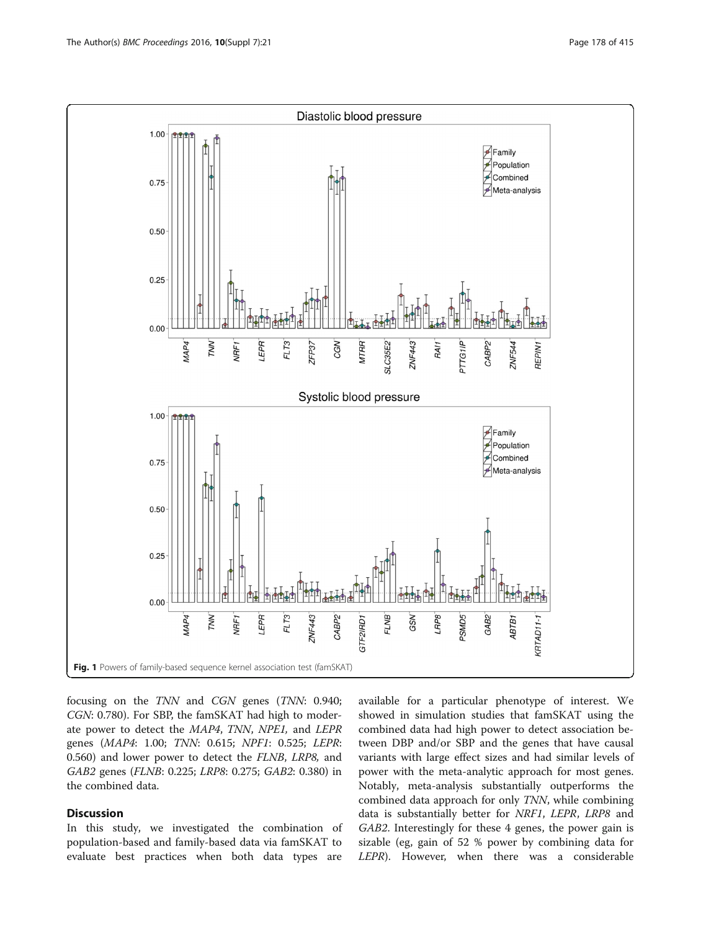<span id="page-3-0"></span>

focusing on the TNN and CGN genes (TNN: 0.940; CGN: 0.780). For SBP, the famSKAT had high to moderate power to detect the MAP4, TNN, NPE1, and LEPR genes (MAP4: 1.00; TNN: 0.615; NPF1: 0.525; LEPR: 0.560) and lower power to detect the FLNB, LRP8, and GAB2 genes (FLNB: 0.225; LRP8: 0.275; GAB2: 0.380) in the combined data.

# **Discussion**

In this study, we investigated the combination of population-based and family-based data via famSKAT to evaluate best practices when both data types are

available for a particular phenotype of interest. We showed in simulation studies that famSKAT using the combined data had high power to detect association between DBP and/or SBP and the genes that have causal variants with large effect sizes and had similar levels of power with the meta-analytic approach for most genes. Notably, meta-analysis substantially outperforms the combined data approach for only TNN, while combining data is substantially better for NRF1, LEPR, LRP8 and GAB2. Interestingly for these 4 genes, the power gain is sizable (eg, gain of 52 % power by combining data for LEPR). However, when there was a considerable